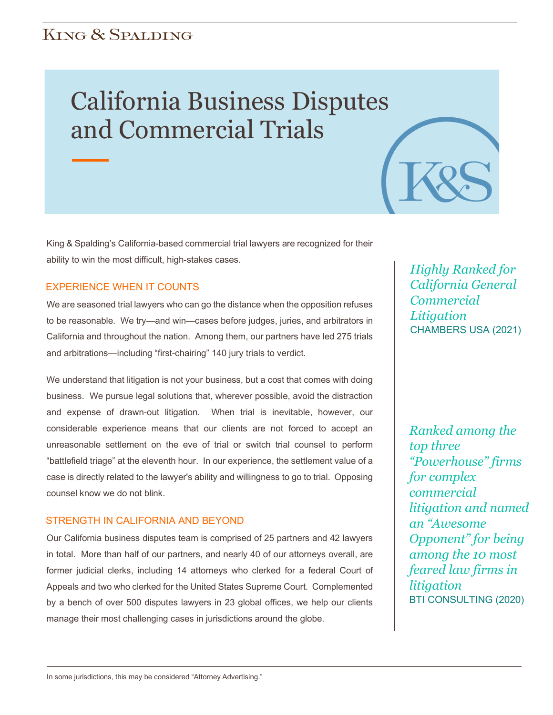# **KING & SPALDING**

# California Business Disputes and Commercial Trials

King & Spalding's California-based commercial trial lawyers are recognized for their ability to win the most difficult, high-stakes cases.

### EXPERIENCE WHEN IT COUNTS

We are seasoned trial lawyers who can go the distance when the opposition refuses to be reasonable. We try—and win—cases before judges, juries, and arbitrators in California and throughout the nation. Among them, our partners have led 275 trials and arbitrations—including "first-chairing" 140 jury trials to verdict.

We understand that litigation is not your business, but a cost that comes with doing business. We pursue legal solutions that, wherever possible, avoid the distraction and expense of drawn-out litigation. When trial is inevitable, however, our considerable experience means that our clients are not forced to accept an unreasonable settlement on the eve of trial or switch trial counsel to perform "battlefield triage" at the eleventh hour. In our experience, the settlement value of a case is directly related to the lawyer's ability and willingness to go to trial. Opposing counsel know we do not blink.

#### STRENGTH IN CALIFORNIA AND BEYOND

Our California business disputes team is comprised of 25 partners and 42 lawyers in total. More than half of our partners, and nearly 40 of our attorneys overall, are former judicial clerks, including 14 attorneys who clerked for a federal Court of Appeals and two who clerked for the United States Supreme Court. Complemented by a bench of over 500 disputes lawyers in 23 global offices, we help our clients manage their most challenging cases in jurisdictions around the globe.

*Highly Ranked for California General Commercial Litigation* CHAMBERS USA (2021)

*Ranked among the top three "Powerhouse" firms for complex commercial litigation and named an "Awesome Opponent" for being among the 10 most feared law firms in litigation* BTI CONSULTING (2020)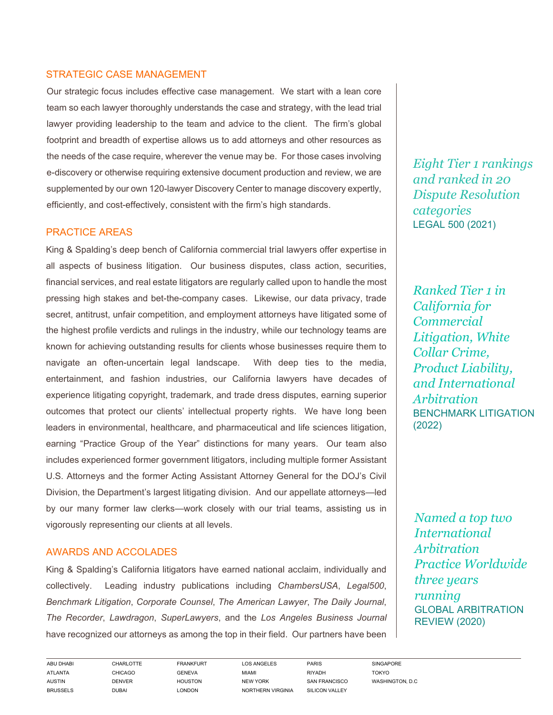# STRATEGIC CASE MANAGEMENT

Our strategic focus includes effective case management. We start with a lean core team so each lawyer thoroughly understands the case and strategy, with the lead trial lawyer providing leadership to the team and advice to the client. The firm's global footprint and breadth of expertise allows us to add attorneys and other resources as the needs of the case require, wherever the venue may be. For those cases involving e-discovery or otherwise requiring extensive document production and review, we are supplemented by our own 120-lawyer Discovery Center to manage discovery expertly, efficiently, and cost-effectively, consistent with the firm's high standards.

#### PRACTICE AREAS

King & Spalding's deep bench of California commercial trial lawyers offer expertise in all aspects of business litigation. Our business disputes, class action, securities, financial services, and real estate litigators are regularly called upon to handle the most pressing high stakes and bet-the-company cases. Likewise, our data privacy, trade secret, antitrust, unfair competition, and employment attorneys have litigated some of the highest profile verdicts and rulings in the industry, while our technology teams are known for achieving outstanding results for clients whose businesses require them to navigate an often-uncertain legal landscape. With deep ties to the media, entertainment, and fashion industries, our California lawyers have decades of experience litigating copyright, trademark, and trade dress disputes, earning superior outcomes that protect our clients' intellectual property rights. We have long been leaders in environmental, healthcare, and pharmaceutical and life sciences litigation, earning "Practice Group of the Year" distinctions for many years. Our team also includes experienced former government litigators, including multiple former Assistant U.S. Attorneys and the former Acting Assistant Attorney General for the DOJ's Civil Division, the Department's largest litigating division. And our appellate attorneys—led by our many former law clerks—work closely with our trial teams, assisting us in vigorously representing our clients at all levels.

#### AWARDS AND ACCOLADES

King & Spalding's California litigators have earned national acclaim, individually and collectively. Leading industry publications including *ChambersUSA*, *Legal500*, *Benchmark Litigation*, *Corporate Counsel*, *The American Lawyer*, *The Daily Journal*, *The Recorder*, *Lawdragon*, *SuperLawyers*, and the *Los Angeles Business Journal* have recognized our attorneys as among the top in their field. Our partners have been

*Eight Tier 1 rankings and ranked in 20 Dispute Resolution categories*  LEGAL 500 (2021)

*Ranked Tier 1 in California for Commercial Litigation, White Collar Crime, Product Liability, and International Arbitration* BENCHMARK LITIGATION (2022)

*Named a top two International Arbitration Practice Worldwide three years running* GLOBAL ARBITRATION REVIEW (2020)

ABU DHABI CHARLOTTE FRANKFURT LOS ANGELES PARIS SINGAPORE ATLANTA CHICAGO GENEVA MIAMI RIYADH TOKYO AUSTIN DENVER HOUSTON NEW YORK SAN FRANCISCO WASHINGTON, D.C BRUSSELS DUBAI LONDON NORTHERN VIRGINIA SILICON VALLEY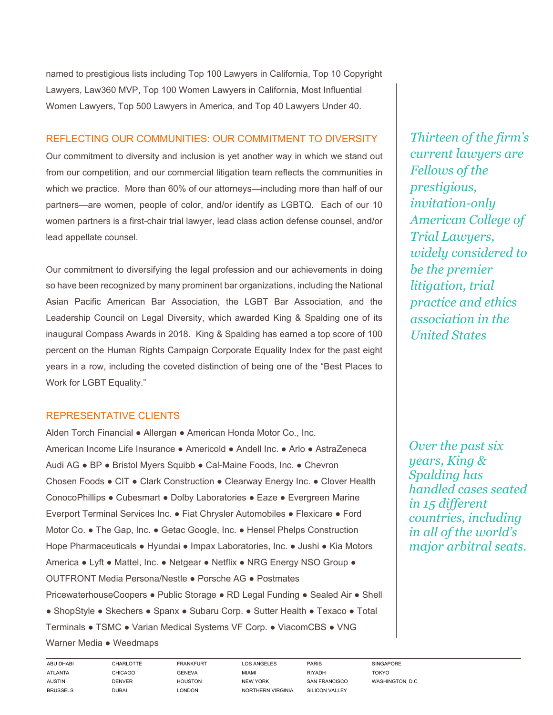named to prestigious lists including Top 100 Lawyers in California, Top 10 Copyright Lawyers, Law360 MVP, Top 100 Women Lawyers in California, Most Influential Women Lawyers, Top 500 Lawyers in America, and Top 40 Lawyers Under 40.

## REFLECTING OUR COMMUNITIES: OUR COMMITMENT TO DIVERSITY

Our commitment to diversity and inclusion is yet another way in which we stand out from our competition, and our commercial litigation team reflects the communities in which we practice. More than 60% of our attorneys—including more than half of our partners—are women, people of color, and/or identify as LGBTQ. Each of our 10 women partners is a first-chair trial lawyer, lead class action defense counsel, and/or lead appellate counsel.

Our commitment to diversifying the legal profession and our achievements in doing so have been recognized by many prominent bar organizations, including the National Asian Pacific American Bar Association, the LGBT Bar Association, and the Leadership Council on Legal Diversity, which awarded King & Spalding one of its inaugural Compass Awards in 2018. King & Spalding has earned a top score of 100 percent on the Human Rights Campaign Corporate Equality Index for the past eight years in a row, including the coveted distinction of being one of the "Best Places to Work for LGBT Equality."

# REPRESENTATIVE CLIENTS

Alden Torch Financial ● Allergan ● American Honda Motor Co., Inc. American Income Life Insurance ● Americold ● Andell Inc. ● Arlo ● AstraZeneca Audi AG ● BP ● Bristol Myers Squibb ● Cal-Maine Foods, Inc. ● Chevron Chosen Foods ● CIT ● Clark Construction ● Clearway Energy Inc. ● Clover Health ConocoPhillips ● Cubesmart ● Dolby Laboratories ● Eaze ● Evergreen Marine Everport Terminal Services Inc. ● Fiat Chrysler Automobiles ● Flexicare ● Ford Motor Co. ● The Gap, Inc. ● Getac Google, Inc. ● Hensel Phelps Construction Hope Pharmaceuticals ● Hyundai ● Impax Laboratories, Inc. ● Jushi ● Kia Motors America ● Lyft ● Mattel, Inc. ● Netgear ● Netflix ● NRG Energy NSO Group ● OUTFRONT Media Persona/Nestle ● Porsche AG ● Postmates PricewaterhouseCoopers . Public Storage . RD Legal Funding . Sealed Air . Shell ● ShopStyle ● Skechers ● Spanx ● Subaru Corp. ● Sutter Health ● Texaco ● Total Terminals ● TSMC ● Varian Medical Systems VF Corp. ● ViacomCBS ● VNG Warner Media • Weedmaps

*Thirteen of the firm's current lawyers are Fellows of the prestigious, invitation-only American College of Trial Lawyers, widely considered to be the premier litigation, trial practice and ethics association in the United States*

*Over the past six years, King & Spalding has handled cases seated in 15 different countries, including in all of the world's major arbitral seats.* 

ABU DHABI CHARLOTTE FRANKFURT LOS ANGELES PARIS SINGAPORE ATLANTA CHICAGO GENEVA MIAMI RIYADH TOKYO AUSTIN DENVER HOUSTON NEW YORK SAN FRANCISCO WASHINGTON, D.C BRUSSELS DUBAI LONDON NORTHERN VIRGINIA SILICON VALLEY